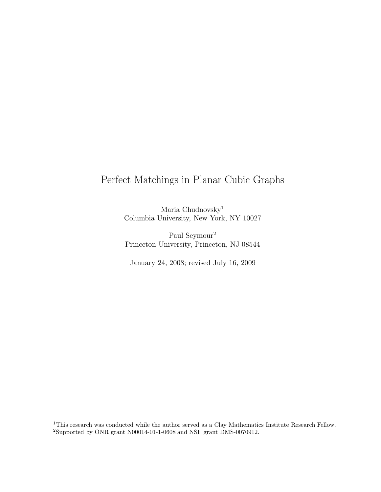# Perfect Matchings in Planar Cubic Graphs

Maria Chudnovsky<sup>1</sup> Columbia University, New York, NY 10027

Paul Seymour<sup>2</sup> Princeton University, Princeton, NJ 08544

January 24, 2008; revised July 16, 2009

<sup>1</sup>This research was conducted while the author served as a Clay Mathematics Institute Research Fellow.  $^2\rm{Supported}$  by ONR grant N00014-01-1-0608 and NSF grant DMS-0070912.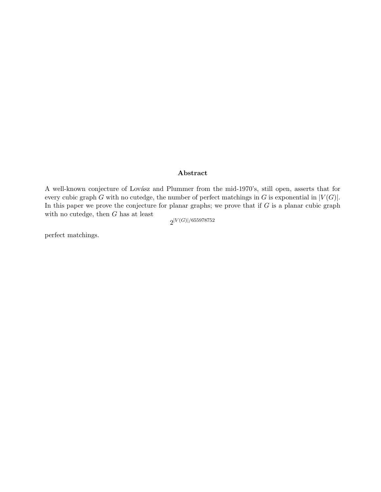#### Abstract

A well-known conjecture of Lovász and Plummer from the mid-1970's, still open, asserts that for every cubic graph G with no cutedge, the number of perfect matchings in G is exponential in  $|V(G)|$ . In this paper we prove the conjecture for planar graphs; we prove that if  $G$  is a planar cubic graph with no cutedge, then G has at least

 $2^{\left| {V(G)} \right| \left/ {655978752} \right. }$ 

perfect matchings.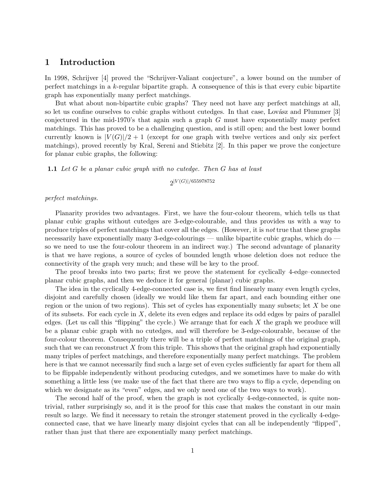# 1 Introduction

In 1998, Schrijver [4] proved the "Schrijver-Valiant conjecture", a lower bound on the number of perfect matchings in a k-regular bipartite graph. A consequence of this is that every cubic bipartite graph has exponentially many perfect matchings.

But what about non-bipartite cubic graphs? They need not have any perfect matchings at all, so let us confine ourselves to cubic graphs without cutedges. In that case, Lovász and Plummer  $[3]$ conjectured in the mid-1970's that again such a graph  $G$  must have exponentially many perfect matchings. This has proved to be a challenging question, and is still open; and the best lower bound currently known is  $|V(G)|/2 + 1$  (except for one graph with twelve vertices and only six perfect matchings), proved recently by Kral, Sereni and Stiebitz [2]. In this paper we prove the conjecture for planar cubic graphs, the following:

1.1 Let G be a planar cubic graph with no cutedge. Then G has at least

 $2^{\left| {V(G)} \right| \left/ {655978752} \right. }$ 

#### perfect matchings.

Planarity provides two advantages. First, we have the four-colour theorem, which tells us that planar cubic graphs without cutedges are 3-edge-colourable, and thus provides us with a way to produce triples of perfect matchings that cover all the edges. (However, it is not true that these graphs necessarily have exponentially many 3-edge-colourings — unlike bipartite cubic graphs, which do so we need to use the four-colour theorem in an indirect way.) The second advantage of planarity is that we have regions, a source of cycles of bounded length whose deletion does not reduce the connectivity of the graph very much; and these will be key to the proof.

The proof breaks into two parts; first we prove the statement for cyclically 4-edge–connected planar cubic graphs, and then we deduce it for general (planar) cubic graphs.

The idea in the cyclically 4-edge-connected case is, we first find linearly many even length cycles, disjoint and carefully chosen (ideally we would like them far apart, and each bounding either one region or the union of two regions). This set of cycles has exponentially many subsets; let X be one of its subsets. For each cycle in  $X$ , delete its even edges and replace its odd edges by pairs of parallel edges. (Let us call this "flipping" the cycle.) We arrange that for each  $X$  the graph we produce will be a planar cubic graph with no cutedges, and will therefore be 3-edge-colourable, because of the four-colour theorem. Consequently there will be a triple of perfect matchings of the original graph, such that we can reconstruct  $X$  from this triple. This shows that the original graph had exponentially many triples of perfect matchings, and therefore exponentially many perfect matchings. The problem here is that we cannot necessarily find such a large set of even cycles sufficiently far apart for them all to be flippable independently without producing cutedges, and we sometimes have to make do with something a little less (we make use of the fact that there are two ways to flip a cycle, depending on which we designate as its "even" edges, and we only need one of the two ways to work).

The second half of the proof, when the graph is not cyclically 4-edge-connected, is quite nontrivial, rather surprisingly so, and it is the proof for this case that makes the constant in our main result so large. We find it necessary to retain the stronger statement proved in the cyclically 4-edgeconnected case, that we have linearly many disjoint cycles that can all be independently "flipped", rather than just that there are exponentially many perfect matchings.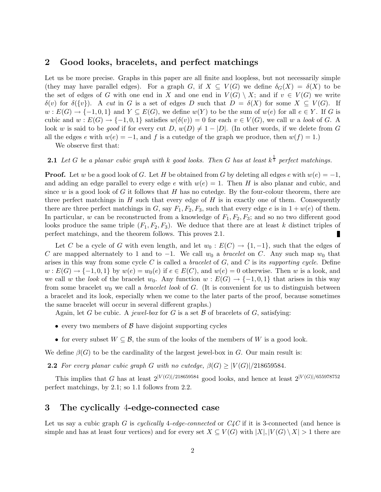#### 2 Good looks, bracelets, and perfect matchings

Let us be more precise. Graphs in this paper are all finite and loopless, but not necessarily simple (they may have parallel edges). For a graph G, if  $X \subseteq V(G)$  we define  $\delta_G(X) = \delta(X)$  to be the set of edges of G with one end in X and one end in  $V(G) \setminus X$ ; and if  $v \in V(G)$  we write  $\delta(v)$  for  $\delta({v})$ . A cut in G is a set of edges D such that  $D = \delta(X)$  for some  $X \subseteq V(G)$ . If  $w: E(G) \to \{-1, 0, 1\}$  and  $Y \subseteq E(G)$ , we define  $w(Y)$  to be the sum of  $w(e)$  for all  $e \in Y$ . If G is cubic and  $w : E(G) \to \{-1, 0, 1\}$  satisfies  $w(\delta(v)) = 0$  for each  $v \in V(G)$ , we call w a look of G. A look w is said to be good if for every cut  $D, w(D) \neq 1 - |D|$ . (In other words, if we delete from G all the edges e with  $w(e) = -1$ , and f is a cutedge of the graph we produce, then  $w(f) = 1$ .

We observe first that:

# **2.1** Let G be a planar cubic graph with k good looks. Then G has at least  $k^{\frac{1}{3}}$  perfect matchings.

**Proof.** Let w be a good look of G. Let H be obtained from G by deleting all edges e with  $w(e) = -1$ , and adding an edge parallel to every edge e with  $w(e) = 1$ . Then H is also planar and cubic, and since w is a good look of G it follows that H has no cutedge. By the four-colour theorem, there are three perfect matchings in  $H$  such that every edge of  $H$  is in exactly one of them. Consequently there are three perfect matchings in G, say  $F_1, F_2, F_3$ , such that every edge e is in  $1 + w(e)$  of them. In particular, w can be reconstructed from a knowledge of  $F_1, F_2, F_3$ ; and so no two different good looks produce the same triple  $(F_1, F_2, F_3)$ . We deduce that there are at least k distinct triples of Г perfect matchings, and the theorem follows. This proves 2.1.

Let C be a cycle of G with even length, and let  $w_0 : E(C) \to \{1, -1\}$ , such that the edges of C are mapped alternately to 1 and to  $-1$ . We call  $w_0$  a bracelet on C. Any such map  $w_0$  that arises in this way from some cycle  $C$  is called a *bracelet* of  $G$ , and  $C$  is its *supporting cycle*. Define  $w: E(G) \to \{-1, 0, 1\}$  by  $w(e) = w_0(e)$  if  $e \in E(C)$ , and  $w(e) = 0$  otherwise. Then w is a look, and we call w the look of the bracelet w<sub>0</sub>. Any function  $w : E(G) \to \{-1, 0, 1\}$  that arises in this way from some bracelet w<sub>0</sub> we call a *bracelet look* of  $G$ . (It is convenient for us to distinguish between a bracelet and its look, especially when we come to the later parts of the proof, because sometimes the same bracelet will occur in several different graphs.)

Again, let G be cubic. A jewel-box for G is a set B of bracelets of G, satisfying:

- every two members of  $\beta$  have disjoint supporting cycles
- for every subset  $W \subseteq \mathcal{B}$ , the sum of the looks of the members of W is a good look.

We define  $\beta(G)$  to be the cardinality of the largest jewel-box in G. Our main result is:

**2.2** For every planar cubic graph G with no cutedge,  $\beta(G) \geq |V(G)|/218659584$ .

This implies that G has at least  $2^{|V(G)|/218659584}$  good looks, and hence at least  $2^{|V(G)|/655978752}$ perfect matchings, by 2.1; so 1.1 follows from 2.2.

# 3 The cyclically 4-edge-connected case

Let us say a cubic graph G is cyclically 4-edge-connected or  $C_4C$  if it is 3-connected (and hence is simple and has at least four vertices) and for every set  $X \subseteq V(G)$  with  $|X|, |V(G) \setminus X| > 1$  there are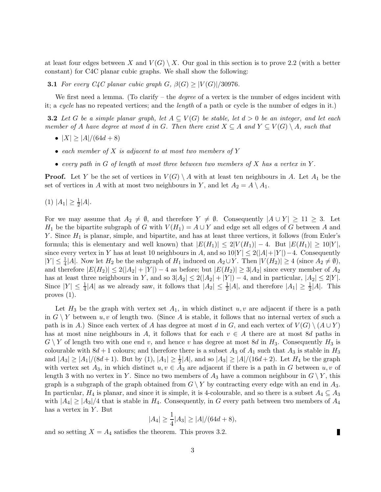at least four edges between X and  $V(G) \setminus X$ . Our goal in this section is to prove 2.2 (with a better constant) for C4C planar cubic graphs. We shall show the following:

**3.1** For every C<sub>4</sub>C planar cubic graph G,  $\beta(G) \geq |V(G)|/30976$ .

We first need a lemma. (To clarify – the *degree* of a vertex is the number of edges incident with it; a cycle has no repeated vertices; and the length of a path or cycle is the number of edges in it.)

**3.2** Let G be a simple planar graph, let  $A \subseteq V(G)$  be stable, let  $d > 0$  be an integer, and let each member of A have degree at most d in G. Then there exist  $X \subseteq A$  and  $Y \subseteq V(G) \setminus A$ , such that

- $|X| \ge |A|/(64d+8)$
- each member of  $X$  is adjacent to at most two members of  $Y$
- every path in G of length at most three between two members of X has a vertex in Y.

**Proof.** Let Y be the set of vertices in  $V(G) \setminus A$  with at least ten neighbours in A. Let  $A_1$  be the set of vertices in A with at most two neighbours in Y, and let  $A_2 = A \setminus A_1$ .

(1)  $|A_1| \geq \frac{1}{2}|A|$ .

For we may assume that  $A_2 \neq \emptyset$ , and therefore  $Y \neq \emptyset$ . Consequently  $|A \cup Y| \geq 11 \geq 3$ . Let  $H_1$  be the bipartite subgraph of G with  $V(H_1) = A \cup Y$  and edge set all edges of G between A and Y. Since  $H_1$  is planar, simple, and bipartite, and has at least three vertices, it follows (from Euler's formula; this is elementary and well known) that  $|E(H_1)| \leq 2|V(H_1)| - 4$ . But  $|E(H_1)| \geq 10|Y|$ , since every vertex in Y has at least 10 neighbours in A, and so  $10|Y| \le 2(|A|+|Y|)-4$ . Consequently  $|Y| \leq \frac{1}{4}|A|$ . Now let  $H_2$  be the subgraph of  $H_1$  induced on  $A_2 \cup Y$ . Then  $|V(H_2)| \geq 4$  (since  $A_2 \neq \emptyset$ ), and therefore  $|E(H_2)| \leq 2(|A_2|+|Y|) - 4$  as before; but  $|E(H_2)| \geq 3|A_2|$  since every member of  $A_2$ has at least three neighbours in Y, and so  $3|A_2| \leq 2(|A_2|+|Y|) - 4$ , and in particular,  $|A_2| \leq 2|Y|$ . Since  $|Y| \leq \frac{1}{4}|A|$  as we already saw, it follows that  $|A_2| \leq \frac{1}{2}|A|$ , and therefore  $|A_1| \geq \frac{1}{2}|A|$ . This proves (1).

Let  $H_3$  be the graph with vertex set  $A_1$ , in which distinct u, v are adjacent if there is a path in  $G \setminus Y$  between  $u, v$  of length two. (Since A is stable, it follows that no internal vertex of such a path is in A.) Since each vertex of A has degree at most d in G, and each vertex of  $V(G) \setminus (A \cup Y)$ has at most nine neighbours in A, it follows that for each  $v \in A$  there are at most 8d paths in  $G \setminus Y$  of length two with one end v, and hence v has degree at most 8d in  $H_3$ . Consequently  $H_3$  is colourable with  $8d + 1$  colours; and therefore there is a subset  $A_3$  of  $A_1$  such that  $A_3$  is stable in  $H_3$ and  $|A_3| \ge |A_1|/(8d+1)$ . But by (1),  $|A_1| \ge \frac{1}{2}|A|$ , and so  $|A_3| \ge |A|/(16d+2)$ . Let  $H_4$  be the graph with vertex set  $A_3$ , in which distinct  $u, v \in A_3$  are adjacent if there is a path in G between  $u, v$  of length 3 with no vertex in Y. Since no two members of  $A_3$  have a common neighbour in  $G \ Y$ , this graph is a subgraph of the graph obtained from  $G \setminus Y$  by contracting every edge with an end in  $A_3$ . In particular,  $H_4$  is planar, and since it is simple, it is 4-colourable, and so there is a subset  $A_4 \subseteq A_3$ with  $|A_4| \geq |A_3|/4$  that is stable in  $H_4$ . Consequently, in G every path between two members of  $A_4$ has a vertex in  $Y$ . But

$$
|A_4| \ge \frac{1}{4}|A_3| \ge |A|/(64d+8),
$$

and so setting  $X = A_4$  satisfies the theorem. This proves 3.2.

Г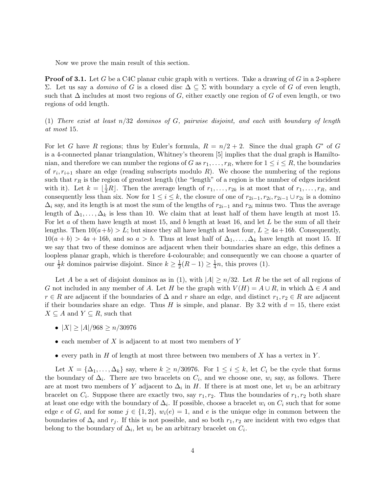Now we prove the main result of this section.

**Proof of 3.1.** Let G be a C4C planar cubic graph with n vertices. Take a drawing of G in a 2-sphere Σ. Let us say a *domino* of G is a closed disc  $\Delta ⊆ Σ$  with boundary a cycle of G of even length, such that  $\Delta$  includes at most two regions of G, either exactly one region of G of even length, or two regions of odd length.

(1) There exist at least  $n/32$  dominos of G, pairwise disjoint, and each with boundary of length at most 15.

For let G have R regions; thus by Euler's formula,  $R = n/2 + 2$ . Since the dual graph  $G^*$  of G is a 4-connected planar triangulation, Whitney's theorem [5] implies that the dual graph is Hamiltonian, and therefore we can number the regions of G as  $r_1, \ldots, r_R$ , where for  $1 \leq i \leq R$ , the boundaries of  $r_i, r_{i+1}$  share an edge (reading subscripts modulo R). We choose the numbering of the regions such that  $r_R$  is the region of greatest length (the "length" of a region is the number of edges incident with it). Let  $k = \lfloor \frac{1}{2}R \rfloor$ . Then the average length of  $r_1, \ldots, r_{2k}$  is at most that of  $r_1, \ldots, r_R$ , and consequently less than six. Now for  $1 \leq i \leq k$ , the closure of one of  $r_{2i-1}, r_{2i}, r_{2i-1} \cup r_{2i}$  is a domino  $\Delta_i$  say, and its length is at most the sum of the lengths of  $r_{2i-1}$  and  $r_{2i}$  minus two. Thus the average length of  $\Delta_1,\ldots,\Delta_k$  is less than 10. We claim that at least half of them have length at most 15. For let a of them have length at most 15, and b length at least 16, and let  $L$  be the sum of all their lengths. Then  $10(a+b) > L$ ; but since they all have length at least four,  $L \ge 4a+16b$ . Consequently,  $10(a + b) > 4a + 16b$ , and so  $a > b$ . Thus at least half of  $\Delta_1, \ldots, \Delta_k$  have length at most 15. If we say that two of these dominos are adjacent when their boundaries share an edge, this defines a loopless planar graph, which is therefore 4-colourable; and consequently we can choose a quarter of our  $\frac{1}{2}k$  dominos pairwise disjoint. Since  $k \geq \frac{1}{2}$  $\frac{1}{2}(R-1) \geq \frac{1}{4}$  $\frac{1}{4}n$ , this proves (1).

Let A be a set of disjoint dominos as in (1), with  $|A| \ge n/32$ . Let R be the set of all regions of G not included in any member of A. Let H be the graph with  $V(H) = A \cup R$ , in which  $\Delta \in A$  and  $r \in R$  are adjacent if the boundaries of  $\Delta$  and r share an edge, and distinct  $r_1, r_2 \in R$  are adjacent if their boundaries share an edge. Thus H is simple, and planar. By 3.2 with  $d = 15$ , there exist  $X \subseteq A$  and  $Y \subseteq R$ , such that

- $|X| \ge |A|/968 \ge n/30976$
- each member of  $X$  is adjacent to at most two members of  $Y$
- every path in H of length at most three between two members of X has a vertex in Y.

Let  $X = {\Delta_1, \ldots, \Delta_k}$  say, where  $k \geq n/30976$ . For  $1 \leq i \leq k$ , let  $C_i$  be the cycle that forms the boundary of  $\Delta_i$ . There are two bracelets on  $C_i$ , and we choose one,  $w_i$  say, as follows. There are at most two members of Y adjacent to  $\Delta_i$  in H. If there is at most one, let  $w_i$  be an arbitrary bracelet on  $C_i$ . Suppose there are exactly two, say  $r_1, r_2$ . Thus the boundaries of  $r_1, r_2$  both share at least one edge with the boundary of  $\Delta_i$ . If possible, choose a bracelet  $w_i$  on  $C_i$  such that for some edge e of G, and for some  $j \in \{1,2\}$ ,  $w_i(e) = 1$ , and e is the unique edge in common between the boundaries of  $\Delta_i$  and  $r_j$ . If this is not possible, and so both  $r_1, r_2$  are incident with two edges that belong to the boundary of  $\Delta_i$ , let  $w_i$  be an arbitrary bracelet on  $C_i$ .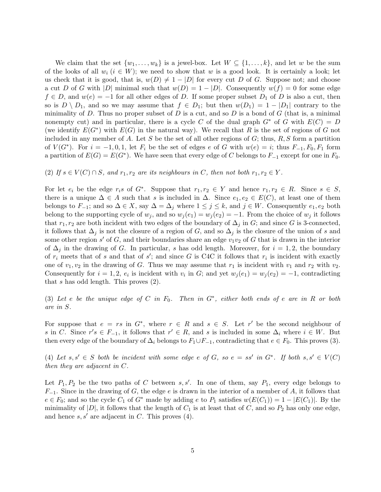We claim that the set  $\{w_1,\ldots,w_k\}$  is a jewel-box. Let  $W \subseteq \{1,\ldots,k\}$ , and let w be the sum of the looks of all  $w_i$  ( $i \in W$ ); we need to show that w is a good look. It is certainly a look; let us check that it is good, that is,  $w(D) \neq 1 - |D|$  for every cut D of G. Suppose not; and choose a cut D of G with |D| minimal such that  $w(D) = 1 - |D|$ . Consequently  $w(f) = 0$  for some edge  $f \in D$ , and  $w(e) = -1$  for all other edges of D. If some proper subset  $D_1$  of D is also a cut, then so is  $D \setminus D_1$ , and so we may assume that  $f \in D_1$ ; but then  $w(D_1) = 1 - |D_1|$  contrary to the minimality of D. Thus no proper subset of D is a cut, and so D is a bond of G (that is, a minimal nonempty cut) and in particular, there is a cycle C of the dual graph  $G^*$  of G with  $E(C) = D$ (we identify  $E(G^*)$  with  $E(G)$  in the natural way). We recall that R is the set of regions of G not included in any member of A. Let S be the set of all other regions of  $G$ ; thus,  $R, S$  form a partition of  $V(G^*)$ . For  $i = -1, 0, 1$ , let  $F_i$  be the set of edges e of G with  $w(e) = i$ ; thus  $F_{-1}, F_0, F_1$  form a partition of  $E(G) = E(G^*)$ . We have seen that every edge of C belongs to  $F_{-1}$  except for one in  $F_0$ .

(2) If  $s \in V(C) \cap S$ , and  $r_1, r_2$  are its neighbours in C, then not both  $r_1, r_2 \in Y$ .

For let  $e_i$  be the edge  $r_i s$  of  $G^*$ . Suppose that  $r_1, r_2 \in Y$  and hence  $r_1, r_2 \in R$ . Since  $s \in S$ , there is a unique  $\Delta \in A$  such that s is included in  $\Delta$ . Since  $e_1, e_2 \in E(C)$ , at least one of them belongs to  $F_{-1}$ ; and so  $\Delta \in X$ , say  $\Delta = \Delta_j$  where  $1 \leq j \leq k$ , and  $j \in W$ . Consequently  $e_1, e_2$  both belong to the supporting cycle of  $w_j$ , and so  $w_j(e_1) = w_j(e_2) = -1$ . From the choice of  $w_j$  it follows that  $r_1, r_2$  are both incident with two edges of the boundary of  $\Delta_i$  in G; and since G is 3-connected, it follows that  $\Delta_j$  is not the closure of a region of G, and so  $\Delta_j$  is the closure of the union of s and some other region  $s'$  of G, and their boundaries share an edge  $v_1v_2$  of G that is drawn in the interior of  $\Delta_i$  in the drawing of G. In particular, s has odd length. Moreover, for  $i = 1, 2$ , the boundary of  $r_i$  meets that of s and that of s'; and since G is C4C it follows that  $r_i$  is incident with exactly one of  $v_1, v_2$  in the drawing of G. Thus we may assume that  $r_1$  is incident with  $v_1$  and  $r_2$  with  $v_2$ . Consequently for  $i = 1, 2, e_i$  is incident with  $v_i$  in G; and yet  $w_j(e_1) = w_j(e_2) = -1$ , contradicting that s has odd length. This proves (2).

(3) Let e be the unique edge of  $C$  in  $F_0$ . Then in  $G^*$ , either both ends of e are in  $R$  or both are in S.

For suppose that  $e = rs$  in  $G^*$ , where  $r \in R$  and  $s \in S$ . Let r' be the second neighbour of s in C. Since  $r's \in F_{-1}$ , it follows that  $r' \in R$ , and s is included in some  $\Delta_i$  where  $i \in W$ . But then every edge of the boundary of  $\Delta_i$  belongs to  $F_1 \cup F_{-1}$ , contradicting that  $e \in F_0$ . This proves (3).

(4) Let  $s, s' \in S$  both be incident with some edge e of G, so  $e = ss'$  in  $G^*$ . If both  $s, s' \in V(C)$ then they are adjacent in C.

Let  $P_1, P_2$  be the two paths of C between s, s'. In one of them, say  $P_1$ , every edge belongs to  $F_{-1}$ . Since in the drawing of G, the edge e is drawn in the interior of a member of A, it follows that  $e \in F_0$ ; and so the cycle  $C_1$  of  $G^*$  made by adding  $e$  to  $P_1$  satisfies  $w(E(C_1)) = 1 - |E(C_1)|$ . By the minimality of  $|D|$ , it follows that the length of  $C_1$  is at least that of C, and so  $P_2$  has only one edge, and hence  $s, s'$  are adjacent in C. This proves (4).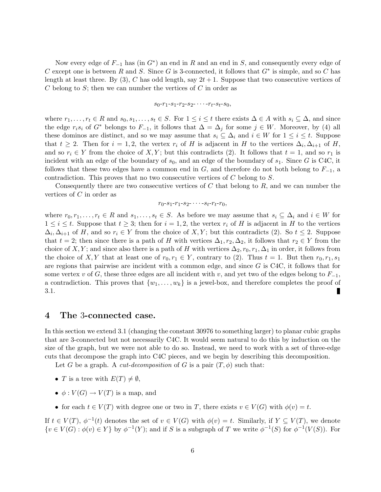Now every edge of  $F_{-1}$  has (in  $G^*$ ) an end in R and an end in S, and consequently every edge of C except one is between R and S. Since G is 3-connected, it follows that  $G^*$  is simple, and so C has length at least three. By (3), C has odd length, say  $2t + 1$ . Suppose that two consecutive vertices of  $C$  belong to  $S$ ; then we can number the vertices of  $C$  in order as

$$
s_0-r_1-s_1-r_2-s_2-\cdots-r_t-s_t-s_0,
$$

where  $r_1,\ldots,r_t \in R$  and  $s_0,s_1,\ldots,s_t \in S$ . For  $1 \leq i \leq t$  there exists  $\Delta \in A$  with  $s_i \subseteq \Delta$ , and since the edge  $r_i s_i$  of  $G^*$  belongs to  $F_{-1}$ , it follows that  $\Delta = \Delta_j$  for some  $j \in W$ . Moreover, by (4) all these dominos are distinct, and so we may assume that  $s_i \subseteq \Delta_i$  and  $i \in W$  for  $1 \leq i \leq t$ . Suppose that  $t \geq 2$ . Then for  $i = 1, 2$ , the vertex  $r_i$  of H is adjacent in H to the vertices  $\Delta_i, \Delta_{i+1}$  of H, and so  $r_i \in Y$  from the choice of X, Y; but this contradicts (2). It follows that  $t = 1$ , and so  $r_1$  is incident with an edge of the boundary of  $s_0$ , and an edge of the boundary of  $s_1$ . Since G is C4C, it follows that these two edges have a common end in G, and therefore do not both belong to  $F_{-1}$ , a contradiction. This proves that no two consecutive vertices of C belong to S.

Consequently there are two consecutive vertices of  $C$  that belong to  $R$ , and we can number the vertices of C in order as

 $r_0 - s_1 - r_1 - s_2 - \cdots - s_t - r_t - r_0$ 

where  $r_0,r_1,\ldots,r_t \in R$  and  $s_1,\ldots,s_t \in S$ . As before we may assume that  $s_i \subseteq \Delta_i$  and  $i \in W$  for  $1 \leq i \leq t$ . Suppose that  $t \geq 3$ ; then for  $i = 1, 2$ , the vertex  $r_i$  of H is adjacent in H to the vertices  $\Delta_i, \Delta_{i+1}$  of H, and so  $r_i \in Y$  from the choice of X, Y; but this contradicts (2). So  $t \leq 2$ . Suppose that  $t = 2$ ; then since there is a path of H with vertices  $\Delta_1, r_2, \Delta_2$ , it follows that  $r_2 \in Y$  from the choice of X, Y; and since also there is a path of H with vertices  $\Delta_2$ ,  $r_0$ ,  $r_1$ ,  $\Delta_1$  in order, it follows from the choice of X,Y that at least one of  $r_0, r_1 \in Y$ , contrary to (2). Thus  $t = 1$ . But then  $r_0, r_1, s_1$ are regions that pairwise are incident with a common edge, and since  $G$  is C4C, it follows that for some vertex v of G, these three edges are all incident with v, and yet two of the edges belong to  $F_{-1}$ , a contradiction. This proves that  $\{w_1, \ldots, w_k\}$  is a jewel-box, and therefore completes the proof of 3.1.

# 4 The 3-connected case.

In this section we extend 3.1 (changing the constant 30976 to something larger) to planar cubic graphs that are 3-connected but not necessarily C4C. It would seem natural to do this by induction on the size of the graph, but we were not able to do so. Instead, we need to work with a set of three-edge cuts that decompose the graph into C4C pieces, and we begin by describing this decomposition.

Let G be a graph. A *cut-decomposition* of G is a pair  $(T, \phi)$  such that:

- T is a tree with  $E(T) \neq \emptyset$ ,
- $\bullet \phi : V(G) \to V(T)$  is a map, and
- for each  $t \in V(T)$  with degree one or two in T, there exists  $v \in V(G)$  with  $\phi(v) = t$ .

If  $t \in V(T)$ ,  $\phi^{-1}(t)$  denotes the set of  $v \in V(G)$  with  $\phi(v) = t$ . Similarly, if  $Y \subseteq V(T)$ , we denote  $\{v \in V(G) : \phi(v) \in Y\}$  by  $\phi^{-1}(Y)$ ; and if S is a subgraph of T we write  $\phi^{-1}(S)$  for  $\phi^{-1}(V(S))$ . For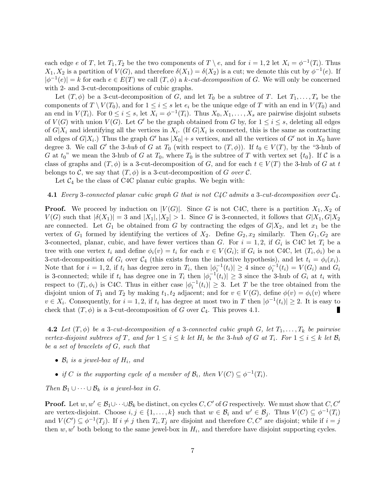each edge e of T, let  $T_1, T_2$  be the two components of  $T \setminus e$ , and for  $i = 1, 2$  let  $X_i = \phi^{-1}(T_i)$ . Thus  $X_1, X_2$  is a partition of  $V(G)$ , and therefore  $\delta(X_1) = \delta(X_2)$  is a cut; we denote this cut by  $\phi^{-1}(e)$ . If  $|\phi^{-1}(e)| = k$  for each  $e \in E(T)$  we call  $(T, \phi)$  a k-cut-decomposition of G. We will only be concerned with 2- and 3-cut-decompositions of cubic graphs.

Let  $(T, \phi)$  be a 3-cut-decomposition of G, and let  $T_0$  be a subtree of T. Let  $T_1, \ldots, T_s$  be the components of  $T \setminus V(T_0)$ , and for  $1 \leq i \leq s$  let  $e_i$  be the unique edge of T with an end in  $V(T_0)$  and an end in  $V(T_i)$ . For  $0 \le i \le s$ , let  $X_i = \phi^{-1}(T_i)$ . Thus  $X_0, X_1, \ldots, X_s$  are pairwise disjoint subsets of  $V(G)$  with union  $V(G)$ . Let G' be the graph obtained from G by, for  $1 \leq i \leq s$ , deleting all edges of  $G|X_i$  and identifying all the vertices in  $X_i$ . (If  $G|X_i$  is connected, this is the same as contracting all edges of  $G|X_i$ .) Thus the graph G' has  $|X_0| + s$  vertices, and all the vertices of G' not in  $X_0$  have degree 3. We call G' the 3-hub of G at  $T_0$  (with respect to  $(T, \phi)$ ). If  $t_0 \in V(T)$ , by the "3-hub of G at  $t_0$ " we mean the 3-hub of G at  $T_0$ , where  $T_0$  is the subtree of T with vertex set  $\{t_0\}$ . If C is a class of graphs and  $(T, \phi)$  is a 3-cut-decomposition of G, and for each  $t \in V(T)$  the 3-hub of G at t belongs to C, we say that  $(T, \phi)$  is a 3-cut-decomposition of G over C.

Let  $C_4$  be the class of C4C planar cubic graphs. We begin with:

#### **4.1** Every 3-connected planar cubic graph G that is not  $C_4C$  admits a 3-cut-decomposition over  $C_4$ .

**Proof.** We proceed by induction on  $|V(G)|$ . Since G is not C4C, there is a partition  $X_1, X_2$  of  $V(G)$  such that  $|\delta(X_1)| = 3$  and  $|X_1|, |X_2| > 1$ . Since G is 3-connected, it follows that  $G|X_1, G|X_2$ are connected. Let  $G_1$  be obtained from G by contracting the edges of  $G|X_2$ , and let  $x_1$  be the vertex of  $G_1$  formed by identifying the vertices of  $X_2$ . Define  $G_2, x_2$  similarly. Then  $G_1, G_2$  are 3-connected, planar, cubic, and have fewer vertices than G. For  $i = 1, 2$ , if  $G_i$  is C4C let  $T_i$  be a tree with one vertex  $t_i$  and define  $\phi_i(v) = t_i$  for each  $v \in V(G_i)$ ; if  $G_i$  is not C4C, let  $(T_i, \phi_i)$  be a 3-cut-decomposition of  $G_i$  over  $\mathcal{C}_4$  (this exists from the inductive hypothesis), and let  $t_i = \phi_i(x_i)$ . Note that for  $i = 1, 2$ , if  $t_i$  has degree zero in  $T_i$ , then  $|\phi_i^{-1}(t_i)| \geq 4$  since  $\phi_i^{-1}(t_i) = V(G_i)$  and  $G_i$ is 3-connected; while if  $t_i$  has degree one in  $T_i$  then  $|\phi_i^{-1}(t_i)| \geq 3$  since the 3-hub of  $G_i$  at  $t_i$  with respect to  $(T_i, \phi_i)$  is C4C. Thus in either case  $|\phi_i^{-1}(t_i)| \geq 3$ . Let T be the tree obtained from the disjoint union of  $T_1$  and  $T_2$  by making  $t_1,t_2$  adjacent; and for  $v \in V(G)$ , define  $\phi(v) = \phi_i(v)$  where  $v \in X_i$ . Consequently, for  $i = 1, 2$ , if  $t_i$  has degree at most two in T then  $|\phi^{-1}(t_i)| \geq 2$ . It is easy to check that  $(T, \phi)$  is a 3-cut-decomposition of G over  $C_4$ . This proves 4.1. г

**4.2** Let  $(T, \phi)$  be a 3-cut-decomposition of a 3-connected cubic graph G, let  $T_1, \ldots, T_k$  be pairwise vertex-disjoint subtrees of T, and for  $1 \le i \le k$  let  $H_i$  be the 3-hub of G at  $T_i$ . For  $1 \le i \le k$  let  $\mathcal{B}_i$ be a set of bracelets of G, such that

- $\mathcal{B}_i$  is a jewel-box of  $H_i$ , and
- if C is the supporting cycle of a member of  $\mathcal{B}_i$ , then  $V(C) \subseteq \phi^{-1}(T_i)$ .

Then  $\mathcal{B}_1 \cup \cdots \cup \mathcal{B}_k$  is a jewel-box in G.

**Proof.** Let  $w, w' \in \mathcal{B}_1 \cup \cdots \cup \mathcal{B}_k$  be distinct, on cycles  $C, C'$  of G respectively. We must show that  $C, C'$ are vertex-disjoint. Choose  $i, j \in \{1, ..., k\}$  such that  $w \in \mathcal{B}_i$  and  $w' \in \mathcal{B}_j$ . Thus  $V(C) \subseteq \phi^{-1}(T_i)$ and  $V(C') \subseteq \phi^{-1}(T_j)$ . If  $i \neq j$  then  $T_i, T_j$  are disjoint and therefore  $C, C'$  are disjoint; while if  $i = j$ then  $w, w'$  both belong to the same jewel-box in  $H_i$ , and therefore have disjoint supporting cycles.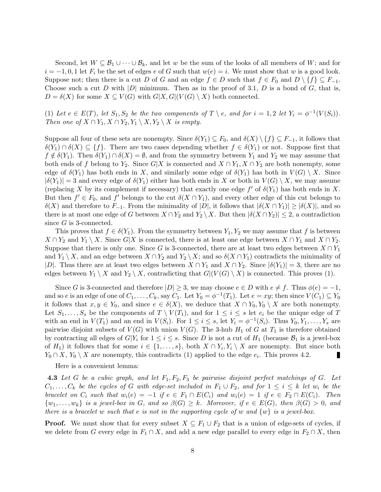Second, let  $W \subseteq \mathcal{B}_1 \cup \cdots \cup \mathcal{B}_k$ , and let w be the sum of the looks of all members of W; and for  $i = -1, 0, 1$  let  $F_i$  be the set of edges e of G such that  $w(e) = i$ . We must show that w is a good look. Suppose not; then there is a cut D of G and an edge  $f \in D$  such that  $f \in F_0$  and  $D \setminus \{f\} \subseteq F_{-1}$ . Choose such a cut D with  $|D|$  minimum. Then as in the proof of 3.1, D is a bond of G, that is,  $D = \delta(X)$  for some  $X \subseteq V(G)$  with  $G|X, G|(V(G) \setminus X)$  both connected.

(1) Let  $e \in E(T)$ , let  $S_1, S_2$  be the two components of  $T \setminus e$ , and for  $i = 1, 2$  let  $Y_i = \phi^{-1}(V(S_i))$ . Then one of  $X \cap Y_1, X \cap Y_2, Y_1 \setminus X, Y_2 \setminus X$  is empty.

Suppose all four of these sets are nonempty. Since  $\delta(Y_1) \subseteq F_0$ , and  $\delta(X) \setminus \{f\} \subseteq F_{-1}$ , it follows that  $\delta(Y_1) \cap \delta(X) \subseteq \{f\}.$  There are two cases depending whether  $f \in \delta(Y_1)$  or not. Suppose first that  $f \notin \delta(Y_1)$ . Then  $\delta(Y_1) \cap \delta(X) = \emptyset$ , and from the symmetry between  $Y_1$  and  $Y_2$  we may assume that both ends of f belong to Y<sub>2</sub>. Since  $G|X$  is connected and  $X \cap Y_1, X \cap Y_2$  are both nonempty, some edge of  $\delta(Y_1)$  has both ends in X, and similarly some edge of  $\delta(Y_1)$  has both in  $V(G) \setminus X$ . Since  $|\delta(Y_1)| = 3$  and every edge of  $\delta(Y_1)$  either has both ends in X or both in  $V(G) \setminus X$ , we may assume (replacing X by its complement if necessary) that exactly one edge  $f'$  of  $\delta(Y_1)$  has both ends in X. But then  $f' \in F_0$ , and  $f'$  belongs to the cut  $\delta(X \cap Y_1)$ , and every other edge of this cut belongs to δ(X) and therefore to F<sub>−1</sub>. From the minimality of |D|, it follows that  $|δ(X ∩ Y_1)| ≥ |δ(X)|$ , and so there is at most one edge of G between  $X \cap Y_2$  and  $Y_2 \setminus X$ . But then  $|\delta(X \cap Y_2)| \leq 2$ , a contradiction since G is 3-connected.

This proves that  $f \in \delta(Y_1)$ . From the symmetry between  $Y_1, Y_2$  we may assume that f is between  $X \cap Y_2$  and  $Y_1 \setminus X$ . Since G|X is connected, there is at least one edge between  $X \cap Y_1$  and  $X \cap Y_2$ . Suppose that there is only one. Since G is 3-connected, there are at least two edges between  $X \cap Y_1$ and  $Y_1 \setminus X$ , and an edge between  $X \cap Y_2$  and  $Y_2 \setminus X$ ; and so  $\delta(X \cap Y_1)$  contradicts the minimality of |D|. Thus there are at least two edges between  $X \cap Y_1$  and  $X \cap Y_2$ . Since  $|\delta(Y_1)| = 3$ , there are no edges between  $Y_1 \setminus X$  and  $Y_2 \setminus X$ , contradicting that  $G|(V(G) \setminus X)$  is connected. This proves (1).

Since G is 3-connected and therefore  $|D| \geq 3$ , we may choose  $e \in D$  with  $e \neq f$ . Thus  $\phi(e) = -1$ , and so e is an edge of one of  $C_1, \ldots, C_k$ , say  $C_1$ . Let  $Y_0 = \phi^{-1}(T_1)$ . Let  $e = xy$ ; then since  $V(C_1) \subseteq Y_0$ it follows that  $x, y \in Y_0$ , and since  $e \in \delta(X)$ , we deduce that  $X \cap Y_0, Y_0 \setminus X$  are both nonempty. Let  $S_1,\ldots,S_s$  be the components of  $T \setminus V(T_1)$ , and for  $1 \leq i \leq s$  let  $e_i$  be the unique edge of T with an end in  $V(T_1)$  and an end in  $V(S_i)$ . For  $1 \leq i \leq s$ , let  $Y_i = \phi^{-1}(S_i)$ . Thus  $Y_0, Y_1, \ldots, Y_s$  are pairwise disjoint subsets of  $V(G)$  with union  $V(G)$ . The 3-hub  $H_1$  of G at  $T_1$  is therefore obtained by contracting all edges of  $G|Y_i$  for  $1 \leq i \leq s$ . Since D is not a cut of  $H_1$  (because  $\mathcal{B}_1$  is a jewel-box of  $H_1$ ) it follows that for some  $i \in \{1, \ldots, s\}$ , both  $X \cap Y_i, Y_i \setminus X$  are nonempty. But since both  $Y_0 \cap X$ ,  $Y_0 \setminus X$  are nonempty, this contradicts (1) applied to the edge  $e_i$ . This proves 4.2. П

Here is a convenient lemma:

**4.3** Let G be a cubic graph, and let  $F_1, F_2, F_3$  be pairwise disjoint perfect matchings of G. Let  $C_1,\ldots,C_k$  be the cycles of G with edge-set included in  $F_1\cup F_2$ , and for  $1\leq i\leq k$  let  $w_i$  be the bracelet on  $C_i$  such that  $w_i(e) = -1$  if  $e \in F_1 \cap E(C_i)$  and  $w_i(e) = 1$  if  $e \in F_2 \cap E(C_i)$ . Then  $\{w_1,\ldots,w_k\}$  is a jewel-box in G, and so  $\beta(G) \geq k$ . Moreover, if  $e \in E(G)$ , then  $\beta(G) > 0$ , and there is a bracelet w such that e is not in the supporting cycle of w and  $\{w\}$  is a jewel-box.

**Proof.** We must show that for every subset  $X \subseteq F_1 \cup F_2$  that is a union of edge-sets of cycles, if we delete from G every edge in  $F_1 \cap X$ , and add a new edge parallel to every edge in  $F_2 \cap X$ , then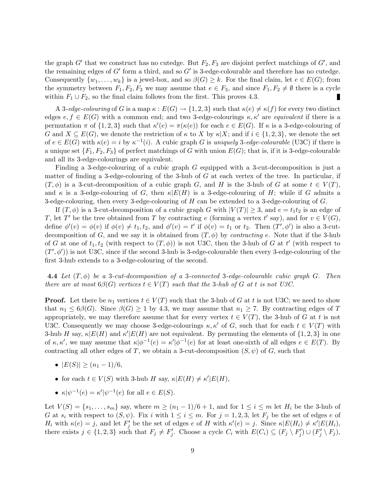the graph  $G'$  that we construct has no cutedge. But  $F_2, F_3$  are disjoint perfect matchings of  $G'$ , and the remaining edges of  $G'$  form a third, and so  $G'$  is 3-edge-colourable and therefore has no cutedge. Consequently  $\{w_1,\ldots,w_k\}$  is a jewel-box, and so  $\beta(G) \geq k$ . For the final claim, let  $e \in E(G)$ ; from the symmetry between  $F_1, F_2, F_3$  we may assume that  $e \in F_3$ , and since  $F_1, F_2 \neq \emptyset$  there is a cycle within  $F_1 \cup F_2$ , so the final claim follows from the first. This proves 4.3.

A 3-edge-colouring of G is a map  $\kappa : E(G) \to \{1,2,3\}$  such that  $\kappa(e) \neq \kappa(f)$  for every two distinct edges  $e, f \in E(G)$  with a common end; and two 3-edge-colourings  $\kappa, \kappa'$  are *equivalent* if there is a permutation  $\pi$  of  $\{1,2,3\}$  such that  $\kappa'(e) = \pi(\kappa(e))$  for each  $e \in E(G)$ . If  $\kappa$  is a 3-edge-colouring of G and  $X \subseteq E(G)$ , we denote the restriction of  $\kappa$  to X by  $\kappa|X$ ; and if  $i \in \{1, 2, 3\}$ , we denote the set of  $e \in E(G)$  with  $\kappa(e) = i$  by  $\kappa^{-1}(i)$ . A cubic graph G is uniquely 3-edge-colourable (U3C) if there is a unique set  $\{F_1,F_2,F_3\}$  of perfect matchings of G with union  $E(G)$ ; that is, if it is 3-edge-colourable and all its 3-edge-colourings are equivalent.

Finding a 3-edge-colouring of a cubic graph G equipped with a 3-cut-decomposition is just a matter of finding a 3-edge-colouring of the 3-hub of  $G$  at each vertex of the tree. In particular, if  $(T,\phi)$  is a 3-cut-decomposition of a cubic graph G, and H is the 3-hub of G at some  $t \in V(T)$ , and  $\kappa$  is a 3-edge-colouring of G, then  $\kappa |E(H)|$  is a 3-edge-colouring of H; while if G admits a 3-edge-colouring, then every 3-edge-colouring of H can be extended to a 3-edge-colouring of G.

If  $(T, \phi)$  is a 3-cut-decomposition of a cubic graph G with  $|V(T)| \geq 3$ , and  $e = t_1t_2$  is an edge of T, let T' be the tree obtained from T by contracting e (forming a vertex t' say), and for  $v \in V(G)$ , define  $\phi'(v) = \phi(v)$  if  $\phi(v) \neq t_1, t_2$ , and  $\phi'(v) = t'$  if  $\phi(v) = t_1$  or  $t_2$ . Then  $(T', \phi')$  is also a 3-cutdecomposition of G, and we say it is obtained from  $(T, \phi)$  by *contracting e*. Note that if the 3-hub of G at one of  $t_1, t_2$  (with respect to  $(T, \phi)$ ) is not U3C, then the 3-hub of G at t' (with respect to  $(T', \phi')$  is not U3C, since if the second 3-hub is 3-edge-colourable then every 3-edge-colouring of the first 3-hub extends to a 3-edge-colouring of the second.

4.4 Let  $(T, \phi)$  be a 3-cut-decomposition of a 3-connected 3-edge-colourable cubic graph G. Then there are at most  $6\beta(G)$  vertices  $t \in V(T)$  such that the 3-hub of G at t is not U3C.

**Proof.** Let there be  $n_1$  vertices  $t \in V(T)$  such that the 3-hub of G at t is not U3C; we need to show that  $n_1 \leq 6\beta(G)$ . Since  $\beta(G) \geq 1$  by 4.3, we may assume that  $n_1 \geq 7$ . By contracting edges of T appropriately, we may therefore assume that for every vertex  $t \in V(T)$ , the 3-hub of G at t is not U3C. Consequently we may choose 3-edge-colourings  $\kappa, \kappa'$  of G, such that for each  $t \in V(T)$  with 3-hub H say,  $\kappa |E(H)$  and  $\kappa' |E(H)$  are not equivalent. By permuting the elements of  $\{1, 2, 3\}$  in one of  $\kappa, \kappa'$ , we may assume that  $\kappa |\phi^{-1}(e) = \kappa' |\phi^{-1}(e)$  for at least one-sixth of all edges  $e \in E(T)$ . By contracting all other edges of T, we obtain a 3-cut-decomposition  $(S, \psi)$  of G, such that

- $|E(S)| \ge (n_1-1)/6$ ,
- for each  $t \in V(S)$  with 3-hub H say,  $\kappa |E(H) \neq \kappa' |E(H)$ ,
- $\kappa |\psi^{-1}(e) = \kappa' |\psi^{-1}(e)$  for all  $e \in E(S)$ .

Let  $V(S) = \{s_1, \ldots, s_m\}$  say, where  $m \ge (n_1 - 1)/6 + 1$ , and for  $1 \le i \le m$  let  $H_i$  be the 3-hub of G at  $s_i$  with respect to  $(S, \psi)$ . Fix i with  $1 \leq i \leq m$ . For  $j = 1, 2, 3$ , let  $F_j$  be the set of edges e of H<sub>i</sub> with  $\kappa(e) = j$ , and let  $F'_j$  be the set of edges e of H with  $\kappa'(e) = j$ . Since  $\kappa |E(H_i) \neq \kappa'|E(H_i)$ , there exists  $j \in \{1,2,3\}$  such that  $F_j \neq F'_j$ . Choose a cycle  $C_i$  with  $E(C_i) \subseteq (F_j \setminus F'_j) \cup (F'_j \setminus F_j)$ ,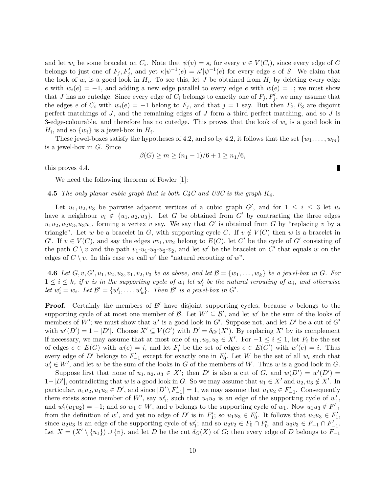and let  $w_i$  be some bracelet on  $C_i$ . Note that  $\psi(v) = s_i$  for every  $v \in V(C_i)$ , since every edge of C belongs to just one of  $F_j, F'_j$ , and yet  $\kappa |\psi^{-1}(e)| = \kappa' |\psi^{-1}(e)|$  for every edge e of S. We claim that the look of  $w_i$  is a good look in  $H_i$ . To see this, let J be obtained from  $H_i$  by deleting every edge e with  $w_i(e) = -1$ , and adding a new edge parallel to every edge e with  $w(e) = 1$ ; we must show that J has no cutedge. Since every edge of  $C_i$  belongs to exactly one of  $F_j, F'_j$ , we may assume that the edges e of  $C_i$  with  $w_i(e) = -1$  belong to  $F_j$ , and that  $j = 1$  say. But then  $F_2, F_3$  are disjoint perfect matchings of  $J$ , and the remaining edges of  $J$  form a third perfect matching, and so  $J$  is 3-edge-colourable, and therefore has no cutedge. This proves that the look of  $w_i$  is a good look in  $H_i$ , and so  $\{w_i\}$  is a jewel-box in  $H_i$ .

These jewel-boxes satisfy the hypotheses of 4.2, and so by 4.2, it follows that the set  $\{w_1, \ldots, w_m\}$ is a jewel-box in G. Since

$$
\beta(G) \ge m \ge (n_1 - 1)/6 + 1 \ge n_1/6,
$$

П

this proves 4.4.

We need the following theorem of Fowler [1]:

#### **4.5** The only planar cubic graph that is both  $C_4C$  and U3C is the graph  $K_4$ .

Let  $u_1, u_2, u_3$  be pairwise adjacent vertices of a cubic graph  $G'$ , and for  $1 \leq i \leq 3$  let  $u_i$ have a neighbour  $v_i \notin \{u_1, u_2, u_3\}$ . Let G be obtained from G' by contracting the three edges  $u_1u_2, u_2u_3, u_3u_1$ , forming a vertex v say. We say that G' is obtained from G by "replacing v by a triangle". Let w be a bracelet in G, with supporting cycle C. If  $v \notin V(C)$  then w is a bracelet in G'. If  $v \in V(C)$ , and say the edges  $vv_1, vv_2$  belong to  $E(C)$ , let C' be the cycle of G' consisting of the path  $C \setminus v$  and the path  $v_1$ - $u_1$ - $u_3$ - $u_2$ - $v_2$ , and let w' be the bracelet on  $C'$  that equals w on the edges of  $C \setminus v$ . In this case we call w' the "natural rerouting of w".

**4.6** Let  $G, v, G', u_1, u_2, u_3, v_1, v_2, v_3$  be as above, and let  $\mathcal{B} = \{w_1, \ldots, w_k\}$  be a jewel-box in G. For  $1 \leq i \leq k$ , if v is in the supporting cycle of  $w_i$  let  $w'_i$  be the natural rerouting of  $w_i$ , and otherwise let  $w'_i = w_i$ . Let  $\mathcal{B}' = \{w'_1, \ldots, w'_k\}$ . Then  $\mathcal{B}'$  is a jewel-box in  $G'$ .

**Proof.** Certainly the members of  $\mathcal{B}'$  have disjoint supporting cycles, because v belongs to the supporting cycle of at most one member of  $\mathcal{B}$ . Let  $W' \subseteq \mathcal{B}'$ , and let w' be the sum of the looks of members of W'; we must show that w' is a good look in  $G'$ . Suppose not, and let D' be a cut of  $G'$ with  $w'(D') = 1 - |D'|$ . Choose  $X' \subseteq V(G')$  with  $D' = \delta_{G'}(X')$ . By replacing X' by its complement if necessary, we may assume that at most one of  $u_1, u_2, u_3 \in X'$ . For  $-1 \leq i \leq 1$ , let  $F_i$  be the set of edges  $e \in E(G)$  with  $w(e) = i$ , and let  $F'_i$  be the set of edges  $e \in E(G')$  with  $w'(e) = i$ . Thus every edge of D' belongs to  $F'_{-1}$  except for exactly one in  $F'_{0}$ . Let W be the set of all  $w_{i}$  such that  $w'_i \in W'$ , and let w be the sum of the looks in G of the members of W. Thus w is a good look in G.

Suppose first that none of  $u_1, u_2, u_3 \in X'$ ; then D' is also a cut of G, and  $w(D') = w'(D') = w'$  $1-|D'|$ , contradicting that w is a good look in G. So we may assume that  $u_1 \in X'$  and  $u_2, u_3 \notin X'$ . In particular,  $u_1u_2, u_1u_3 \in D'$ , and since  $|D' \setminus F'_{-1}| = 1$ , we may assume that  $u_1u_2 \in F'_{-1}$ . Consequently there exists some member of W', say  $w'_1$ , such that  $u_1u_2$  is an edge of the supporting cycle of  $w'_1$ , and  $w'_1(u_1u_2) = -1$ ; and so  $w_1 \in W$ , and v belongs to the supporting cycle of  $w_1$ . Now  $u_1u_3 \notin F'_{-1}$ from the definition of w', and yet no edge of D' is in  $F'_1$ ; so  $u_1u_3 \in F'_0$ . It follows that  $u_2u_3 \in F'_1$ , since  $u_2u_3$  is an edge of the supporting cycle of  $w'_1$ ; and so  $u_2v_2 \in F_0 \cap F'_0$ , and  $u_3v_3 \in F_{-1} \cap F'_{-1}$ . Let  $X = (X' \setminus \{u_1\}) \cup \{v\}$ , and let D be the cut  $\delta_G(X)$  of G; then every edge of D belongs to  $F_{-1}$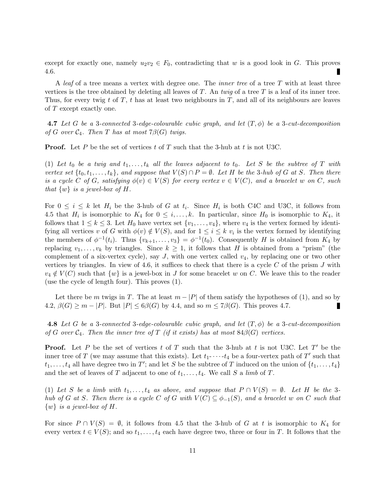except for exactly one, namely  $u_2v_2 \in F_0$ , contradicting that w is a good look in G. This proves 4.6. П

A leaf of a tree means a vertex with degree one. The *inner tree* of a tree T with at least three vertices is the tree obtained by deleting all leaves of T. An twig of a tree T is a leaf of its inner tree. Thus, for every twig t of  $T$ , t has at least two neighbours in  $T$ , and all of its neighbours are leaves of T except exactly one.

**4.7** Let G be a 3-connected 3-edge-colourable cubic graph, and let  $(T, \phi)$  be a 3-cut-decomposition of G over  $C_4$ . Then T has at most  $7\beta(G)$  twigs.

**Proof.** Let P be the set of vertices t of T such that the 3-hub at t is not U3C.

(1) Let  $t_0$  be a twig and  $t_1,\ldots,t_k$  all the leaves adjacent to  $t_0$ . Let S be the subtree of T with vertex set  $\{t_0,t_1,\ldots,t_k\}$ , and suppose that  $V(S) \cap P = \emptyset$ . Let H be the 3-hub of G at S. Then there is a cycle C of G, satisfying  $\phi(v) \in V(S)$  for every vertex  $v \in V(C)$ , and a bracelet w on C, such that  $\{w\}$  is a jewel-box of H.

For  $0 \leq i \leq k$  let  $H_i$  be the 3-hub of G at  $t_i$ . Since  $H_i$  is both C4C and U3C, it follows from 4.5 that  $H_i$  is isomorphic to  $K_4$  for  $0 \leq i, \ldots, k$ . In particular, since  $H_0$  is isomorphic to  $K_4$ , it follows that  $1 \leq k \leq 3$ . Let  $H_0$  have vertex set  $\{v_1, \ldots, v_4\}$ , where  $v_4$  is the vertex formed by identifying all vertices v of G with  $\phi(v) \notin V(S)$ , and for  $1 \leq i \leq k$  v<sub>i</sub> is the vertex formed by identifying the members of  $\phi^{-1}(t_i)$ . Thus  $\{v_{k+1},\ldots,v_3\} = \phi^{-1}(t_0)$ . Consequently H is obtained from  $K_4$  by replacing  $v_1, \ldots, v_k$  by triangles. Since  $k \geq 1$ , it follows that H is obtained from a "prism" (the complement of a six-vertex cycle), say J, with one vertex called  $v_4$ , by replacing one or two other vertices by triangles. In view of 4.6, it suffices to check that there is a cycle  $C$  of the prism  $J$  with  $v_4 \notin V(C)$  such that  $\{w\}$  is a jewel-box in J for some bracelet w on C. We leave this to the reader (use the cycle of length four). This proves (1).

Let there be m twigs in T. The at least  $m - |P|$  of them satisfy the hypotheses of (1), and so by  $4.2, \beta(G) \geq m - |P|$ . But  $|P| \leq 6\beta(G)$  by 4.4, and so  $m \leq 7\beta(G)$ . This proves 4.7.

4.8 Let G be a 3-connected 3-edge-colourable cubic graph, and let  $(T, \phi)$  be a 3-cut-decomposition of G over  $C_4$ . Then the inner tree of T (if it exists) has at most  $84\beta(G)$  vertices.

**Proof.** Let P be the set of vertices t of T such that the 3-hub at t is not U3C. Let T' be the inner tree of T (we may assume that this exists). Let  $t_1$ - $\cdots$ - $t_4$  be a four-vertex path of T' such that  $t_1, \ldots, t_4$  all have degree two in T'; and let S be the subtree of T induced on the union of  $\{t_1, \ldots, t_4\}$ and the set of leaves of T adjacent to one of  $t_1, \ldots, t_4$ . We call S a limb of T.

(1) Let S be a limb with  $t_1,\ldots,t_4$  as above, and suppose that  $P \cap V(S) = \emptyset$ . Let H be the 3hub of G at S. Then there is a cycle C of G with  $V(C) \subseteq \phi_{-1}(S)$ , and a bracelet w on C such that  $\{w\}$  is a jewel-box of H.

For since  $P \cap V(S) = \emptyset$ , it follows from 4.5 that the 3-hub of G at t is isomorphic to  $K_4$  for every vertex  $t \in V(S)$ ; and so  $t_1, \ldots, t_4$  each have degree two, three or four in T. It follows that the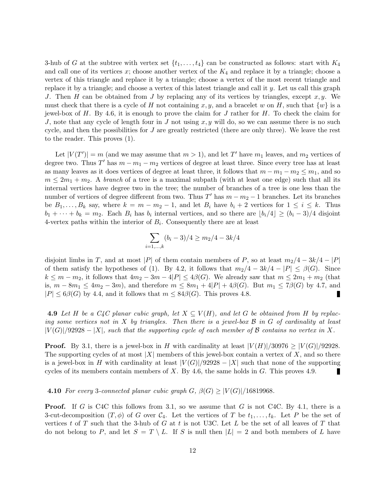3-hub of G at the subtree with vertex set  $\{t_1,\ldots,t_4\}$  can be constructed as follows: start with  $K_4$ and call one of its vertices  $x$ ; choose another vertex of the  $K_4$  and replace it by a triangle; choose a vertex of this triangle and replace it by a triangle; choose a vertex of the most recent triangle and replace it by a triangle; and choose a vertex of this latest triangle and call it y. Let us call this graph J. Then H can be obtained from J by replacing any of its vertices by triangles, except  $x, y$ . We must check that there is a cycle of H not containing x, y, and a bracelet w on H, such that  $\{w\}$  is a jewel-box of H. By 4.6, it is enough to prove the claim for J rather for H. To check the claim for J, note that any cycle of length four in J not using  $x, y$  will do, so we can assume there is no such cycle, and then the possibilities for J are greatly restricted (there are only three). We leave the rest to the reader. This proves (1).

Let  $|V(T')|=m$  (and we may assume that  $m>1$ ), and let T' have  $m_1$  leaves, and  $m_2$  vertices of degree two. Thus T' has  $m - m_1 - m_2$  vertices of degree at least three. Since every tree has at least as many leaves as it does vertices of degree at least three, it follows that  $m - m_1 - m_2 \le m_1$ , and so  $m \leq 2m_1 + m_2$ . A branch of a tree is a maximal subpath (with at least one edge) such that all its internal vertices have degree two in the tree; the number of branches of a tree is one less than the number of vertices of degree different from two. Thus  $T'$  has  $m - m<sub>2</sub> - 1$  branches. Let its branches be  $B_1,\ldots,B_k$  say, where  $k = m - m_2 - 1$ , and let  $B_i$  have  $b_i + 2$  vertices for  $1 \le i \le k$ . Thus  $b_1 + \cdots + b_k = m_2$ . Each  $B_i$  has  $b_i$  internal vertices, and so there are  $\lfloor b_i/4 \rfloor \ge (b_i - 3)/4$  disjoint 4-vertex paths within the interior of  $B_i$ . Consequently there are at least

$$
\sum_{i=1,\dots,k} (b_i - 3)/4 \ge m_2/4 - 3k/4
$$

disjoint limbs in T, and at most |P| of them contain members of P, so at least  $m_2/4 - 3k/4 - |P|$ of them satisfy the hypotheses of (1). By 4.2, it follows that  $m_2/4 - 3k/4 - |P| \leq \beta(G)$ . Since  $k \leq m - m_2$ , it follows that  $4m_2 - 3m - 4|P| \leq 4\beta(G)$ . We already saw that  $m \leq 2m_1 + m_2$  (that is,  $m - 8m_1 \leq 4m_2 - 3m$ , and therefore  $m \leq 8m_1 + 4|P| + 4\beta(G)$ . But  $m_1 \leq 7\beta(G)$  by 4.7, and  $|P| \leq 6\beta(G)$  by 4.4, and it follows that  $m \leq 84\beta(G)$ . This proves 4.8. П

4.9 Let H be a C4C planar cubic graph, let  $X \subseteq V(H)$ , and let G be obtained from H by replacing some vertices not in  $X$  by triangles. Then there is a jewel-box  $\mathcal B$  in  $G$  of cardinality at least  $|V(G)|/92928 - |X|$ , such that the supporting cycle of each member of B contains no vertex in X.

**Proof.** By 3.1, there is a jewel-box in H with cardinality at least  $|V(H)|/30976 \geq |V(G)|/92928$ . The supporting cycles of at most  $|X|$  members of this jewel-box contain a vertex of X, and so there is a jewel-box in H with cardinality at least  $|V(G)|/92928 - |X|$  such that none of the supporting cycles of its members contain members of  $X$ . By 4.6, the same holds in  $G$ . This proves 4.9.

**4.10** For every 3-connected planar cubic graph  $G$ ,  $\beta(G) \geq |V(G)|/16819968$ .

**Proof.** If G is C4C this follows from 3.1, so we assume that G is not C4C. By 4.1, there is a 3-cut-decomposition  $(T, \phi)$  of G over  $\mathcal{C}_4$ . Let the vertices of T be  $t_1, \ldots, t_k$ . Let P be the set of vertices t of T such that the 3-hub of G at t is not U3C. Let L be the set of all leaves of T that do not belong to P, and let  $S = T \setminus L$ . If S is null then  $|L| = 2$  and both members of L have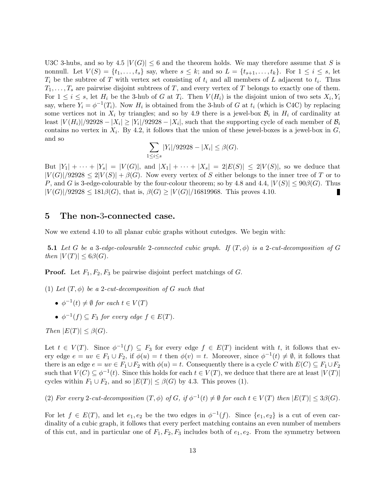U3C 3-hubs, and so by 4.5  $|V(G)| \leq 6$  and the theorem holds. We may therefore assume that S is nonnull. Let  $V(S) = \{t_1,\ldots,t_s\}$  say, where  $s \leq k$ ; and so  $L = \{t_{s+1},\ldots,t_k\}$ . For  $1 \leq i \leq s$ , let  $T_i$  be the subtree of T with vertex set consisting of  $t_i$  and all members of L adjacent to  $t_i$ . Thus  $T_1,\ldots,T_s$  are pairwise disjoint subtrees of T, and every vertex of T belongs to exactly one of them. For  $1 \leq i \leq s$ , let  $H_i$  be the 3-hub of G at  $T_i$ . Then  $V(H_i)$  is the disjoint union of two sets  $X_i, Y_i$ say, where  $Y_i = \phi^{-1}(T_i)$ . Now  $H_i$  is obtained from the 3-hub of G at  $t_i$  (which is C4C) by replacing some vertices not in  $X_i$  by triangles; and so by 4.9 there is a jewel-box  $B_i$  in  $H_i$  of cardinality at least  $|V(H_i)|/92928 - |X_i| \ge |Y_i|/92928 - |X_i|$ , such that the supporting cycle of each member of  $B_i$ contains no vertex in  $X_i$ . By 4.2, it follows that the union of these jewel-boxes is a jewel-box in  $G$ , and so

$$
\sum_{1 \le i \le s} |Y_i| / 92928 - |X_i| \le \beta(G).
$$

But  $|Y_1| + \cdots + |Y_s| = |V(G)|$ , and  $|X_1| + \cdots + |X_s| = 2|E(S)| \leq 2|V(S)|$ , so we deduce that  $|V(G)|/92928 \leq 2|V(S)| + \beta(G)$ . Now every vertex of S either belongs to the inner tree of T or to P, and G is 3-edge-colourable by the four-colour theorem; so by 4.8 and 4.4,  $|V(S)| \leq 90\beta(G)$ . Thus  $|V(G)|/92928 \le 181\beta(G)$ , that is,  $\beta(G) \ge |V(G)|/16819968$ . This proves 4.10.

#### 5 The non-3-connected case.

Now we extend 4.10 to all planar cubic graphs without cutedges. We begin with:

**5.1** Let G be a 3-edge-colourable 2-connected cubic graph. If  $(T, \phi)$  is a 2-cut-decomposition of G then  $|V(T)| \leq 6\beta(G)$ .

**Proof.** Let  $F_1, F_2, F_3$  be pairwise disjoint perfect matchings of G.

(1) Let  $(T, \phi)$  be a 2-cut-decomposition of G such that

- $\phi^{-1}(t) \neq \emptyset$  for each  $t \in V(T)$
- $\phi^{-1}(f) \subseteq F_3$  for every edge  $f \in E(T)$ .

Then  $|E(T)| \leq \beta(G)$ .

Let  $t \in V(T)$ . Since  $\phi^{-1}(f) \subseteq F_3$  for every edge  $f \in E(T)$  incident with t, it follows that every edge  $e = uv \in F_1 \cup F_2$ , if  $\phi(u) = t$  then  $\phi(v) = t$ . Moreover, since  $\phi^{-1}(t) \neq \emptyset$ , it follows that there is an edge  $e = uv \in F_1 \cup F_2$  with  $\phi(u) = t$ . Consequently there is a cycle C with  $E(C) \subseteq F_1 \cup F_2$ such that  $V(C) \subseteq \phi^{-1}(t)$ . Since this holds for each  $t \in V(T)$ , we deduce that there are at least  $|V(T)|$ cycles within  $F_1 \cup F_2$ , and so  $|E(T)| \leq \beta(G)$  by 4.3. This proves (1).

(2) For every 2-cut-decomposition  $(T, \phi)$  of G, if  $\phi^{-1}(t) \neq \emptyset$  for each  $t \in V(T)$  then  $|E(T)| \leq 3\beta(G)$ .

For let  $f \in E(T)$ , and let  $e_1, e_2$  be the two edges in  $\phi^{-1}(f)$ . Since  $\{e_1, e_2\}$  is a cut of even cardinality of a cubic graph, it follows that every perfect matching contains an even number of members of this cut, and in particular one of  $F_1, F_2, F_3$  includes both of  $e_1, e_2$ . From the symmetry between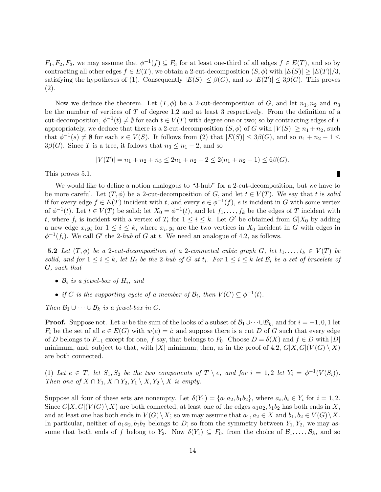$F_1, F_2, F_3$ , we may assume that  $\phi^{-1}(f) \subseteq F_3$  for at least one-third of all edges  $f \in E(T)$ , and so by contracting all other edges  $f \in E(T)$ , we obtain a 2-cut-decomposition  $(S, \phi)$  with  $|E(S)| \geq |E(T)|/3$ , satisfying the hypotheses of (1). Consequently  $|E(S)| \leq \beta(G)$ , and so  $|E(T)| \leq 3\beta(G)$ . This proves (2).

Now we deduce the theorem. Let  $(T, \phi)$  be a 2-cut-decomposition of G, and let  $n_1, n_2$  and  $n_3$ be the number of vertices of T of degree 1,2 and at least 3 respectively. From the definition of a cut-decomposition,  $\phi^{-1}(t) \neq \emptyset$  for each  $t \in V(T)$  with degree one or two; so by contracting edges of T appropriately, we deduce that there is a 2-cut-decomposition  $(S, \phi)$  of G with  $|V(S)| \ge n_1 + n_2$ , such that  $\phi^{-1}(s) \neq \emptyset$  for each  $s \in V(S)$ . It follows from (2) that  $|E(S)| \leq 3\beta(G)$ , and so  $n_1 + n_2 - 1 \leq$  $3\beta(G)$ . Since T is a tree, it follows that  $n_3 \leq n_1 - 2$ , and so

$$
|V(T)| = n_1 + n_2 + n_3 \le 2n_1 + n_2 - 2 \le 2(n_1 + n_2 - 1) \le 6\beta(G).
$$

Г

This proves 5.1.

We would like to define a notion analogous to "3-hub" for a 2-cut-decomposition, but we have to be more careful. Let  $(T, \phi)$  be a 2-cut-decomposition of G, and let  $t \in V(T)$ . We say that t is solid if for every edge  $f \in E(T)$  incident with t, and every  $e \in \phi^{-1}(f)$ , e is incident in G with some vertex of  $\phi^{-1}(t)$ . Let  $t \in V(T)$  be solid; let  $X_0 = \phi^{-1}(t)$ , and let  $f_1, \ldots, f_k$  be the edges of T incident with t, where  $f_i$  is incident with a vertex of  $T_i$  for  $1 \leq i \leq k$ . Let G' be obtained from  $G|X_0$  by adding a new edge  $x_i y_i$  for  $1 \leq i \leq k$ , where  $x_i, y_i$  are the two vertices in  $X_0$  incident in G with edges in  $\phi^{-1}(f_i)$ . We call G' the 2-hub of G at t. We need an analogue of 4.2, as follows.

**5.2** Let  $(T, \phi)$  be a 2-cut-decomposition of a 2-connected cubic graph G, let  $t_1, \ldots, t_k \in V(T)$  be solid, and for  $1 \le i \le k$ , let  $H_i$  be the 2-hub of G at  $t_i$ . For  $1 \le i \le k$  let  $\mathcal{B}_i$  be a set of bracelets of G, such that

- $\mathcal{B}_i$  is a jewel-box of  $H_i$ , and
- if C is the supporting cycle of a member of  $\mathcal{B}_i$ , then  $V(C) \subseteq \phi^{-1}(t)$ .

Then  $\mathcal{B}_1 \cup \cdots \cup \mathcal{B}_k$  is a jewel-box in G.

**Proof.** Suppose not. Let w be the sum of the looks of a subset of  $\mathcal{B}_1 \cup \cdots \cup \mathcal{B}_k$ , and for  $i = -1, 0, 1$  let  $F_i$  be the set of all  $e \in E(G)$  with  $w(e) = i$ ; and suppose there is a cut D of G such that every edge of D belongs to  $F_{-1}$  except for one, f say, that belongs to  $F_0$ . Choose  $D = \delta(X)$  and  $f \in D$  with  $|D|$ minimum, and, subject to that, with |X| minimum; then, as in the proof of 4.2,  $G[X, G](V(G) \setminus X)$ are both connected.

(1) Let  $e \in T$ , let  $S_1, S_2$  be the two components of  $T \setminus e$ , and for  $i = 1, 2$  let  $Y_i = \phi^{-1}(V(S_i))$ . Then one of  $X \cap Y_1, X \cap Y_2, Y_1 \setminus X, Y_2 \setminus X$  is empty.

Suppose all four of these sets are nonempty. Let  $\delta(Y_1) = \{a_1a_2, b_1b_2\}$ , where  $a_i, b_i \in Y_i$  for  $i = 1, 2$ . Since  $G[X, G](V(G) \setminus X)$  are both connected, at least one of the edges  $a_1a_2, b_1b_2$  has both ends in X, and at least one has both ends in  $V(G) \setminus X$ ; so we may assume that  $a_1, a_2 \in X$  and  $b_1, b_2 \in V(G) \setminus X$ . In particular, neither of  $a_1a_2,b_1b_2$  belongs to D; so from the symmetry between  $Y_1,Y_2$ , we may assume that both ends of f belong to  $Y_2$ . Now  $\delta(Y_1) \subseteq F_0$ , from the choice of  $\mathcal{B}_1,\ldots,\mathcal{B}_k$ , and so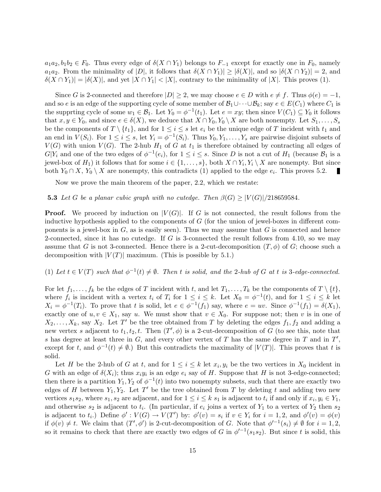$a_1a_2, b_1b_2 \in F_0$ . Thus every edge of  $\delta(X \cap Y_1)$  belongs to  $F_{-1}$  except for exactly one in  $F_0$ , namely  $a_1a_2$ . From the minimality of  $|D|$ , it follows that  $\delta(X \cap Y_1)| \geq |\delta(X)|$ , and so  $|\delta(X \cap Y_2)| = 2$ , and  $\delta(X \cap Y_1) = |\delta(X)|$ , and yet  $|X \cap Y_1| < |X|$ , contrary to the minimality of  $|X|$ . This proves (1).

Since G is 2-connected and therefore  $|D| \geq 2$ , we may choose  $e \in D$  with  $e \neq f$ . Thus  $\phi(e) = -1$ , and so e is an edge of the supporting cycle of some member of  $\mathcal{B}_1 \cup \cdots \cup \mathcal{B}_k$ ; say  $e \in E(C_1)$  where  $C_1$  is the supprting cycle of some  $w_1 \in \mathcal{B}_1$ . Let  $Y_0 = \phi^{-1}(t_1)$ . Let  $e = xy$ ; then since  $V(C_1) \subseteq Y_0$  it follows that  $x, y \in Y_0$ , and since  $e \in \delta(X)$ , we deduce that  $X \cap Y_0, Y_0 \setminus X$  are both nonempty. Let  $S_1, \ldots, S_s$ be the components of  $T \setminus \{t_1\}$ , and for  $1 \leq i \leq s$  let  $e_i$  be the unique edge of T incident with  $t_1$  and an end in  $V(S_i)$ . For  $1 \le i \le s$ , let  $Y_i = \phi^{-1}(S_i)$ . Thus  $Y_0, Y_1, \ldots, Y_s$  are pairwise disjoint subsets of  $V(G)$  with union  $V(G)$ . The 2-hub  $H_1$  of G at  $t_1$  is therefore obtained by contracting all edges of  $G|Y_i$  and one of the two edges of  $\phi^{-1}(e_i)$ , for  $1 \leq i \leq s$ . Since D is not a cut of  $H_1$  (because  $\mathcal{B}_1$  is a jewel-box of  $H_1$ ) it follows that for some  $i \in \{1, \ldots, s\}$ , both  $X \cap Y_i, Y_i \setminus X$  are nonempty. But since both  $Y_0 \cap X$ ,  $Y_0 \setminus X$  are nonempty, this contradicts (1) applied to the edge  $e_i$ . This proves 5.2.

Now we prove the main theorem of the paper, 2.2, which we restate:

#### **5.3** Let G be a planar cubic graph with no cutedge. Then  $\beta(G) \geq |V(G)|/218659584$ .

**Proof.** We proceed by induction on  $|V(G)|$ . If G is not connected, the result follows from the inductive hypothesis applied to the components of  $G$  (for the union of jewel-boxes in different components is a jewel-box in  $G$ , as is easily seen). Thus we may assume that  $G$  is connected and hence 2-connected, since it has no cutedge. If G is 3-connected the result follows from 4.10, so we may assume that G is not 3-connected. Hence there is a 2-cut-decomposition  $(T, \phi)$  of G; choose such a decomposition with  $|V(T)|$  maximum. (This is possible by 5.1.)

# (1) Let  $t \in V(T)$  such that  $\phi^{-1}(t) \neq \emptyset$ . Then t is solid, and the 2-hub of G at t is 3-edge-connected.

For let  $f_1,\ldots,f_k$  be the edges of T incident with t, and let  $T_1,\ldots,T_k$  be the components of  $T \setminus \{t\}$ , where  $f_i$  is incident with a vertex  $t_i$  of  $T_i$  for  $1 \leq i \leq k$ . Let  $X_0 = \phi^{-1}(t)$ , and for  $1 \leq i \leq k$  let  $X_i = \phi^{-1}(T_i)$ . To prove that t is solid, let  $e \in \phi^{-1}(f_1)$  say, where  $e = uv$ . Since  $\phi^{-1}(f_1) = \delta(X_1)$ , exactly one of  $u, v \in X_1$ , say u. We must show that  $v \in X_0$ . For suppose not; then v is in one of  $X_2, \ldots, X_k$ , say  $X_2$ . Let T' be the tree obtained from T by deleting the edges  $f_1, f_2$  and adding a new vertex s adjacent to  $t_1, t_2, t$ . Then  $(T', \phi)$  is a 2-cut-decomposition of G (to see this, note that s has degree at least three in  $G$ , and every other vertex of  $T$  has the same degree in  $T$  and in  $T'$ , except for t, and  $\phi^{-1}(t) \neq \emptyset$ .) But this contradicts the maximality of  $|V(T)|$ . This proves that t is solid.

Let H be the 2-hub of G at t, and for  $1 \leq i \leq k$  let  $x_i, y_i$  be the two vertices in  $X_0$  incident in G with an edge of  $\delta(X_i)$ ; thus  $x_i y_i$  is an edge  $e_i$  say of H. Suppose that H is not 3-edge-connected; then there is a partition  $Y_1, Y_2$  of  $\phi^{-1}(t)$  into two nonempty subsets, such that there are exactly two edges of H between  $Y_1, Y_2$ . Let T' be the tree obtained from T by deleting t and adding two new vertices  $s_1s_2$ , where  $s_1, s_2$  are adjacent, and for  $1 \le i \le k$   $s_1$  is adjacent to  $t_i$  if and only if  $x_i, y_i \in Y_1$ , and otherwise  $s_2$  is adjacent to  $t_i$ . (In particular, if  $e_i$  joins a vertex of  $Y_1$  to a vertex of  $Y_2$  then  $s_2$ is adjacent to  $t_i$ .) Define  $\phi' : V(G) \to V(T')$  by:  $\phi'(v) = s_i$  if  $v \in Y_i$  for  $i = 1, 2$ , and  $\phi'(v) = \phi(v)$ if  $\phi(v) \neq t$ . We claim that  $(T', \phi')$  is 2-cut-decomposition of G. Note that  $\phi'^{-1}(s_i) \neq \emptyset$  for  $i = 1, 2$ , so it remains to check that there are exactly two edges of G in  $\phi'^{-1}(s_1s_2)$ . But since t is solid, this